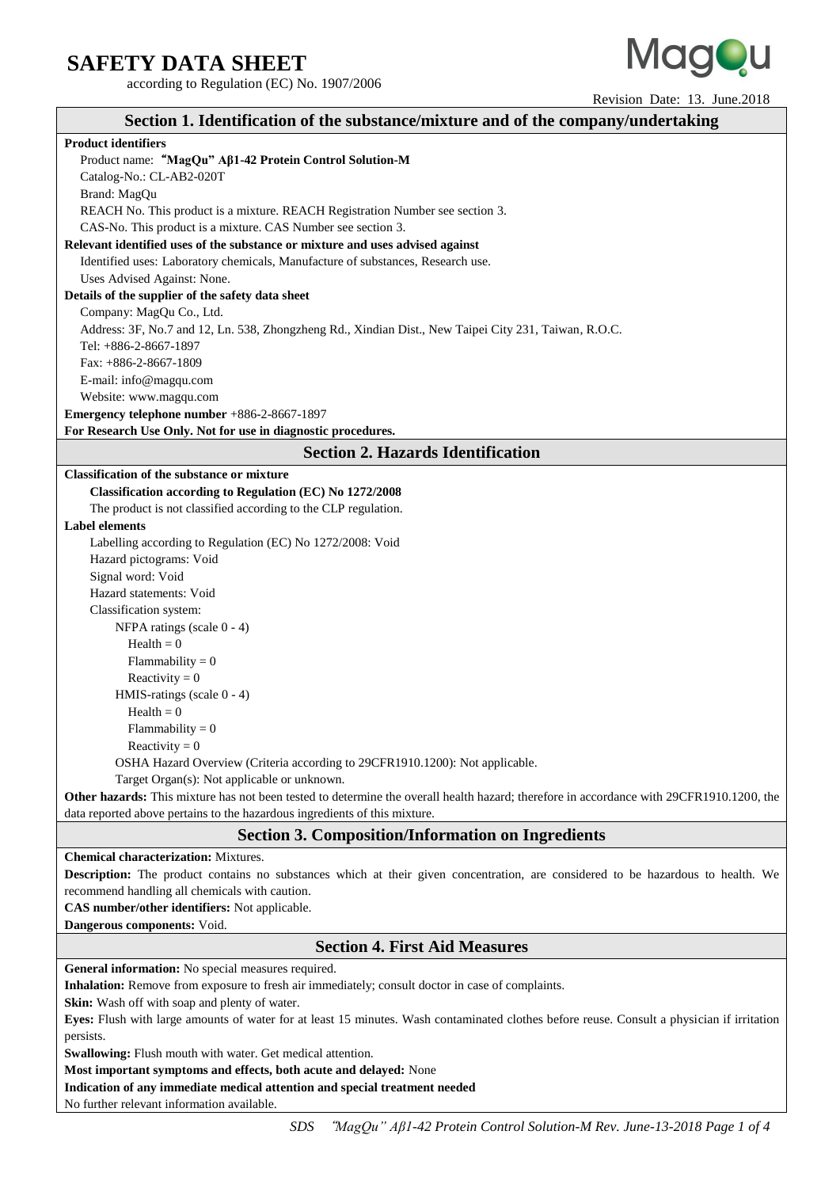according to Regulation (EC) No. 1907/2006



Revision Date: 13. June.2018

| Section 1. Identification of the substance/mixture and of the company/undertaking                                                          |  |  |  |  |
|--------------------------------------------------------------------------------------------------------------------------------------------|--|--|--|--|
| <b>Product identifiers</b>                                                                                                                 |  |  |  |  |
| Product name: "MagQu" Aß1-42 Protein Control Solution-M                                                                                    |  |  |  |  |
| Catalog-No.: CL-AB2-020T                                                                                                                   |  |  |  |  |
| Brand: MagQu                                                                                                                               |  |  |  |  |
| REACH No. This product is a mixture. REACH Registration Number see section 3.                                                              |  |  |  |  |
| CAS-No. This product is a mixture. CAS Number see section 3.                                                                               |  |  |  |  |
| Relevant identified uses of the substance or mixture and uses advised against                                                              |  |  |  |  |
| Identified uses: Laboratory chemicals, Manufacture of substances, Research use.                                                            |  |  |  |  |
| Uses Advised Against: None.                                                                                                                |  |  |  |  |
| Details of the supplier of the safety data sheet                                                                                           |  |  |  |  |
| Company: MagQu Co., Ltd.                                                                                                                   |  |  |  |  |
| Address: 3F, No.7 and 12, Ln. 538, Zhongzheng Rd., Xindian Dist., New Taipei City 231, Taiwan, R.O.C.                                      |  |  |  |  |
| Tel: +886-2-8667-1897                                                                                                                      |  |  |  |  |
| Fax: +886-2-8667-1809                                                                                                                      |  |  |  |  |
| E-mail: info@magqu.com                                                                                                                     |  |  |  |  |
| Website: www.magqu.com                                                                                                                     |  |  |  |  |
| Emergency telephone number +886-2-8667-1897                                                                                                |  |  |  |  |
| For Research Use Only. Not for use in diagnostic procedures.                                                                               |  |  |  |  |
| <b>Section 2. Hazards Identification</b>                                                                                                   |  |  |  |  |
| <b>Classification of the substance or mixture</b>                                                                                          |  |  |  |  |
| <b>Classification according to Regulation (EC) No 1272/2008</b>                                                                            |  |  |  |  |
| The product is not classified according to the CLP regulation.                                                                             |  |  |  |  |
| <b>Label elements</b>                                                                                                                      |  |  |  |  |
| Labelling according to Regulation (EC) No 1272/2008: Void                                                                                  |  |  |  |  |
| Hazard pictograms: Void                                                                                                                    |  |  |  |  |
| Signal word: Void                                                                                                                          |  |  |  |  |
| Hazard statements: Void                                                                                                                    |  |  |  |  |
| Classification system:                                                                                                                     |  |  |  |  |
| NFPA ratings (scale 0 - 4)                                                                                                                 |  |  |  |  |
| $Health = 0$                                                                                                                               |  |  |  |  |
| Flammability = $0$                                                                                                                         |  |  |  |  |
| Reactivity = $0$                                                                                                                           |  |  |  |  |
| HMIS-ratings (scale 0 - 4)                                                                                                                 |  |  |  |  |
| $Health = 0$                                                                                                                               |  |  |  |  |
| Flammability = $0$                                                                                                                         |  |  |  |  |
| Reactivity = $0$                                                                                                                           |  |  |  |  |
| OSHA Hazard Overview (Criteria according to 29CFR1910.1200): Not applicable.                                                               |  |  |  |  |
| Target Organ(s): Not applicable or unknown.                                                                                                |  |  |  |  |
| Other hazards: This mixture has not been tested to determine the overall health hazard; therefore in accordance with 29CFR1910.1200, the   |  |  |  |  |
| data reported above pertains to the hazardous ingredients of this mixture.                                                                 |  |  |  |  |
| <b>Section 3. Composition/Information on Ingredients</b>                                                                                   |  |  |  |  |
| <b>Chemical characterization:</b> Mixtures.                                                                                                |  |  |  |  |
| Description: The product contains no substances which at their given concentration, are considered to be hazardous to health. We           |  |  |  |  |
| recommend handling all chemicals with caution.                                                                                             |  |  |  |  |
| CAS number/other identifiers: Not applicable.                                                                                              |  |  |  |  |
| Dangerous components: Void.                                                                                                                |  |  |  |  |
| <b>Section 4. First Aid Measures</b>                                                                                                       |  |  |  |  |
| General information: No special measures required.                                                                                         |  |  |  |  |
| Inhalation: Remove from exposure to fresh air immediately; consult doctor in case of complaints.                                           |  |  |  |  |
| Skin: Wash off with soap and plenty of water.                                                                                              |  |  |  |  |
| Eyes: Flush with large amounts of water for at least 15 minutes. Wash contaminated clothes before reuse. Consult a physician if irritation |  |  |  |  |
| persists.                                                                                                                                  |  |  |  |  |
| Swallowing: Flush mouth with water. Get medical attention.                                                                                 |  |  |  |  |
| Most important symptoms and effects, both acute and delayed: None                                                                          |  |  |  |  |
| Indication of any immediate medical attention and special treatment needed                                                                 |  |  |  |  |
| No further relevant information available.                                                                                                 |  |  |  |  |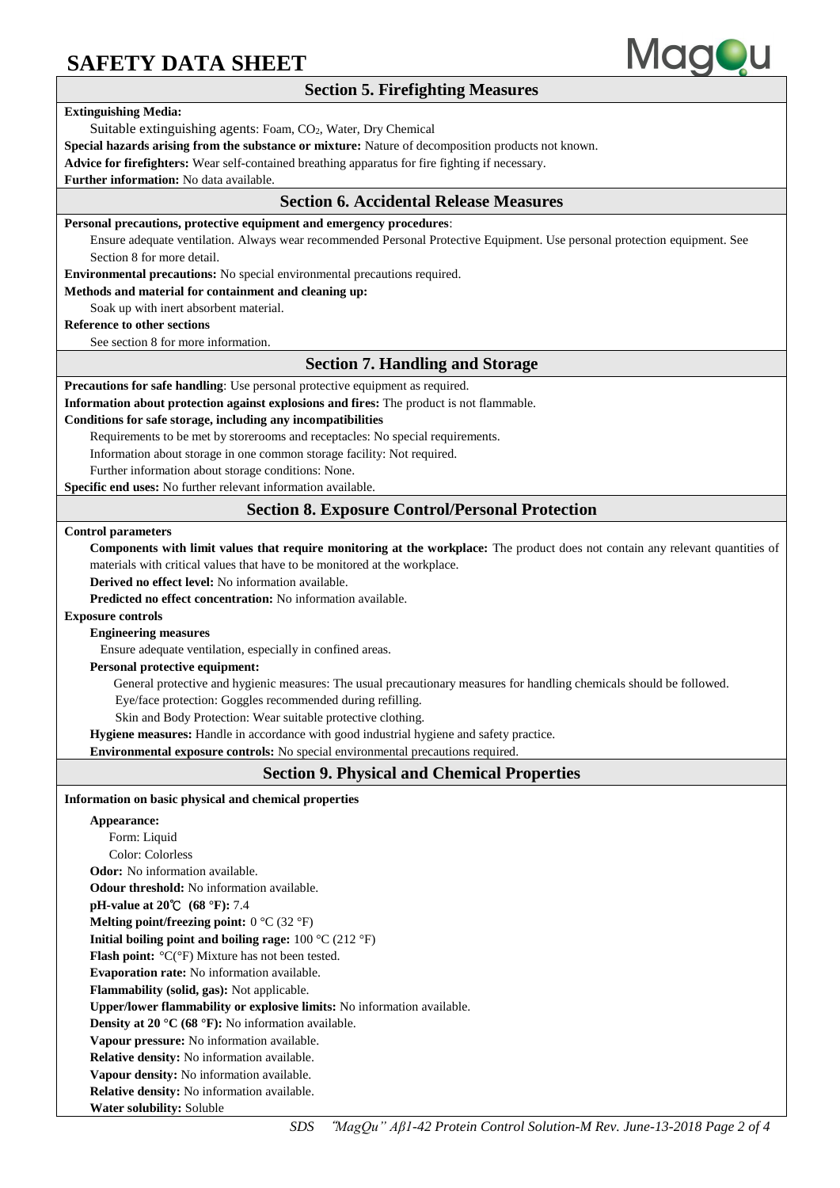

*SDS* "*MagQu" Aβ1-42 Protein Control Solution-M Rev. June-13-2018 Page 2 of 4* **Section 5. Firefighting Measures Extinguishing Media:**  Suitable extinguishing agents: Foam, CO2, Water, Dry Chemical **Special hazards arising from the substance or mixture:** Nature of decomposition products not known. **Advice for firefighters:** Wear self-contained breathing apparatus for fire fighting if necessary. **Further information:** No data available. **Section 6. Accidental Release Measures Personal precautions, protective equipment and emergency procedures**: Ensure adequate ventilation. Always wear recommended Personal Protective Equipment. Use personal protection equipment. See Section 8 for more detail. **Environmental precautions:** No special environmental precautions required. **Methods and material for containment and cleaning up:** Soak up with inert absorbent material. **Reference to other sections** See section 8 for more information. **Section 7. Handling and Storage Precautions for safe handling**: Use personal protective equipment as required. **Information about protection against explosions and fires:** The product is not flammable. **Conditions for safe storage, including any incompatibilities** Requirements to be met by storerooms and receptacles: No special requirements. Information about storage in one common storage facility: Not required. Further information about storage conditions: None. **Specific end uses:** No further relevant information available. **Section 8. Exposure Control/Personal Protection Control parameters Components with limit values that require monitoring at the workplace:** The product does not contain any relevant quantities of materials with critical values that have to be monitored at the workplace. **Derived no effect level:** No information available. **Predicted no effect concentration:** No information available. **Exposure controls Engineering measures** Ensure adequate ventilation, especially in confined areas. **Personal protective equipment:** General protective and hygienic measures: The usual precautionary measures for handling chemicals should be followed. Eye/face protection: Goggles recommended during refilling. Skin and Body Protection: Wear suitable protective clothing. **Hygiene measures:** Handle in accordance with good industrial hygiene and safety practice. **Environmental exposure controls:** No special environmental precautions required. **Section 9. Physical and Chemical Properties Information on basic physical and chemical properties Appearance:**  Form: Liquid Color: Colorless **Odor:** No information available. **Odour threshold:** No information available. **pH-value at 20**℃ **(68 °F):** 7.4 **Melting point/freezing point:** 0 °C (32 °F) **Initial boiling point and boiling rage:** 100 °C (212 °F) **Flash point:** °C(°F) Mixture has not been tested. **Evaporation rate:** No information available. **Flammability (solid, gas):** Not applicable. **Upper/lower flammability or explosive limits:** No information available. **Density at 20 °C (68 °F):** No information available. **Vapour pressure:** No information available. **Relative density:** No information available. **Vapour density:** No information available. **Relative density:** No information available. **Water solubility:** Soluble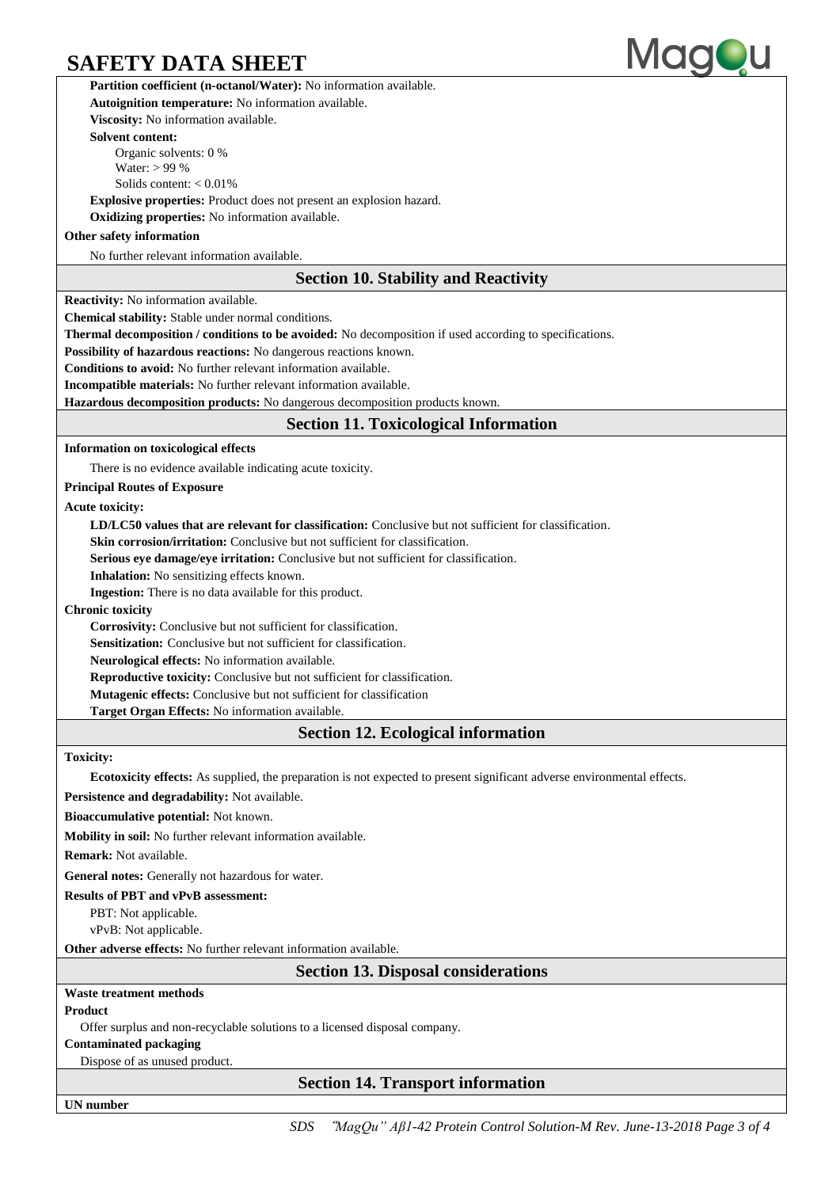

**Partition coefficient (n-octanol/Water):** No information available. **Autoignition temperature:** No information available. **Viscosity:** No information available. **Solvent content:** Organic solvents: 0 % Water: > 99 % Solids content: < 0.01% **Explosive properties:** Product does not present an explosion hazard. **Oxidizing properties:** No information available. **Other safety information** No further relevant information available. **Section 10. Stability and Reactivity Reactivity:** No information available. **Chemical stability:** Stable under normal conditions. **Thermal decomposition / conditions to be avoided:** No decomposition if used according to specifications. **Possibility of hazardous reactions:** No dangerous reactions known. **Conditions to avoid:** No further relevant information available. **Incompatible materials:** No further relevant information available. **Hazardous decomposition products:** No dangerous decomposition products known. **Section 11. Toxicological Information Information on toxicological effects** There is no evidence available indicating acute toxicity. **Principal Routes of Exposure Acute toxicity: LD/LC50 values that are relevant for classification:** Conclusive but not sufficient for classification. **Skin corrosion/irritation:** Conclusive but not sufficient for classification. **Serious eye damage/eye irritation:** Conclusive but not sufficient for classification. **Inhalation:** No sensitizing effects known. **Ingestion:** There is no data available for this product. **Chronic toxicity Corrosivity:** Conclusive but not sufficient for classification. **Sensitization:** Conclusive but not sufficient for classification. **Neurological effects:** No information available. **Reproductive toxicity:** Conclusive but not sufficient for classification. **Mutagenic effects:** Conclusive but not sufficient for classification **Target Organ Effects:** No information available. **Section 12. Ecological information Toxicity: Ecotoxicity effects:** As supplied, the preparation is not expected to present significant adverse environmental effects. **Persistence and degradability:** Not available. **Bioaccumulative potential:** Not known. **Mobility in soil:** No further relevant information available. **Remark:** Not available. **General notes:** Generally not hazardous for water. **Results of PBT and vPvB assessment:** PBT: Not applicable. vPvB: Not applicable. **Other adverse effects:** No further relevant information available. **Section 13. Disposal considerations Waste treatment methods Product** Offer surplus and non-recyclable solutions to a licensed disposal company. **Contaminated packaging** Dispose of as unused product.

**Section 14. Transport information**

**UN number**

*SDS* "*MagQu" Aβ1-42 Protein Control Solution-M Rev. June-13-2018 Page 3 of 4*